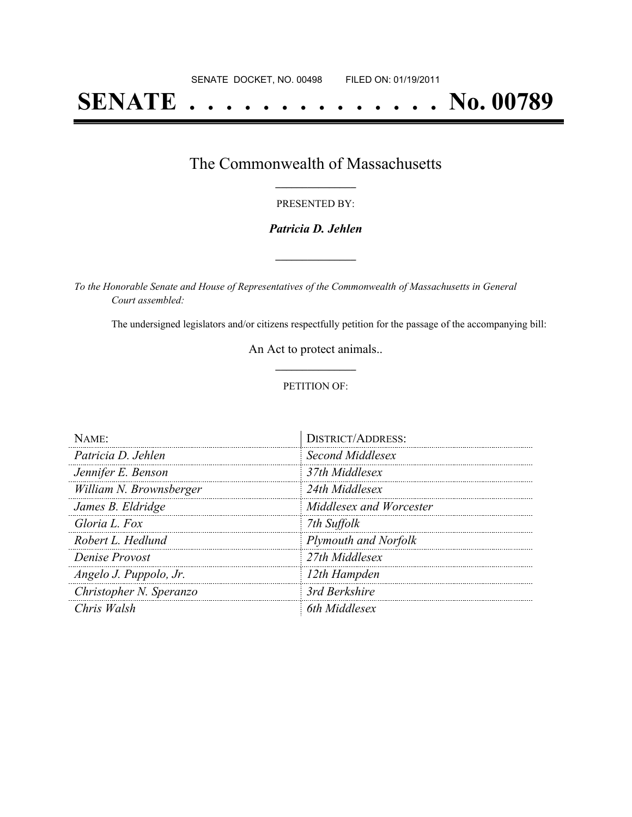# **SENATE . . . . . . . . . . . . . . No. 00789**

## The Commonwealth of Massachusetts **\_\_\_\_\_\_\_\_\_\_\_\_\_\_\_**

### PRESENTED BY:

### *Patricia D. Jehlen*

**\_\_\_\_\_\_\_\_\_\_\_\_\_\_\_**

*To the Honorable Senate and House of Representatives of the Commonwealth of Massachusetts in General Court assembled:*

The undersigned legislators and/or citizens respectfully petition for the passage of the accompanying bill:

An Act to protect animals..

### PETITION OF:

| NAME:                   | <b>DISTRICT/ADDRESS:</b>    |
|-------------------------|-----------------------------|
| Patricia D. Jehlen      | Second Middlesex            |
| Jennifer E. Benson      | 37th Middlesex              |
| William N. Brownsberger | 24th Middlesex              |
| James B. Eldridge       | Middlesex and Worcester     |
| Gloria L. Fox           | 7th Suffolk                 |
| Robert L. Hedlund       | <b>Plymouth and Norfolk</b> |
| Denise Provost          | 27th Middlesex              |
| Angelo J. Puppolo, Jr.  | 12th Hampden                |
| Christopher N. Speranzo | 3rd Berkshire               |
| Chris Walsh             | 6th Middlesex               |